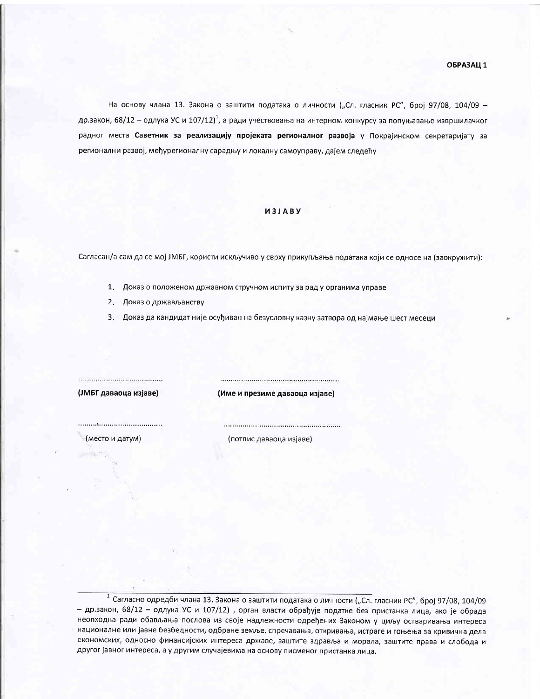На основу члана 13. Закона о заштити података о личности ("Сл. гласник РС", број 97/08, 104/09 др.закон, 68/12 – одлука УС и 107/12)<sup>1</sup>, а ради учествовања на интерном конкурсу за попуњавање извршилачког радног места Саветник за реализацију пројеката регионалног развоја у Покрајинском секретаријату за регионални развој, међурегионалну сарадњу и локалну самоуправу, дајем следећу

## *U3JABY*

Сагласан/а сам да се мој ЈМБГ, користи искључиво у сврху прикупљања података који се односе на (заокружити):

- 1. Доказ о положеном државном стручном испиту за рад у органима управе
- 2. Доказ о држављанству
- 3. Доказ да кандидат није осуђиван на безусловну казну затвора од најмање шест месеци

(ЈМБГ даваоца изјаве)

(Име и презиме даваоца изјаве)

(место и датум)

(потпис даваоца изјаве)

 $^{-1}$  Сагласно одредби члана 13. Закона о заштити података о личности ("Сл. гласник РС", број 97/08, 104/09 - др.закон, 68/12 - одлука УС и 107/12), орган власти обрађује податке без пристанка лица, ако је обрада неопходна ради обављања послова из своје надлежности одређених Законом у циљу остваривања интереса националне или јавне безбедности, одбране земље, спречавања, откривања, истраге и гоњења за кривична дела економских, односно финансијских интереса државе, заштите здравља и морала, заштите права и слобода и другог јавног интереса, а у другим случајевима на основу писменог пристанка лица.